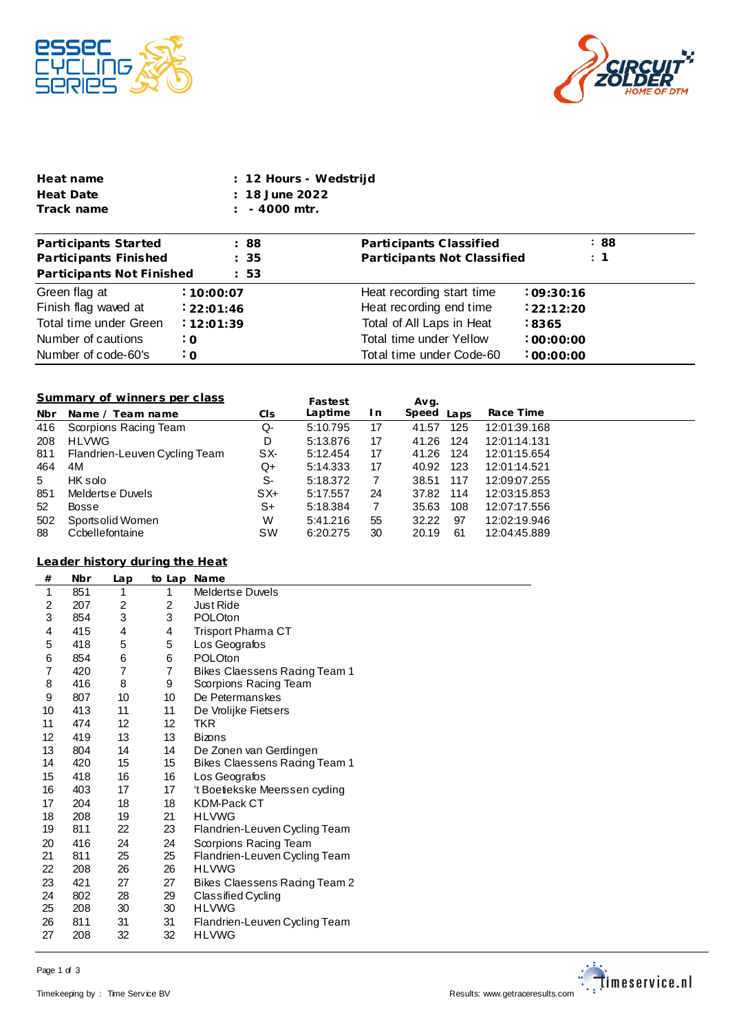



| Heat name  | : 12 Hours - Wedstrijd |
|------------|------------------------|
| Heat Date  | $: 18$ June 2022       |
| Track name | $: 4000$ mtr.          |

| Participants Started      | : 88       | Participants Classified     | :88            |
|---------------------------|------------|-----------------------------|----------------|
| Participants Finished     | : 35       | Participants Not Classified | $\therefore$ 1 |
| Participants Not Finished | : 53       |                             |                |
| Green flag at             | : 10:00:07 | Heat recording start time   | :09:30:16      |
| Finish flag waved at      | 22:01:46   | Heat recording end time     | :22:12:20      |
| Total time under Green    | 12:01:39   | Total of All Laps in Heat   | $-8365$        |
| Number of cautions        | $\cdot$ 0  | Total time under Yellow     | :00:00:00      |
| Number of code-60's       | $\cdot$ O  | Total time under Code-60    | :00:00:00      |

## **Summary of winners per class**

|            | Summary of winners per class  |           | Fastest  |     | Avg.          |              |
|------------|-------------------------------|-----------|----------|-----|---------------|--------------|
| <b>Nbr</b> | Name / Team name              | CI s      | Laptime  | I n | Speed<br>Laps | Race Time    |
| 416        | Scorpions Racing Team         | Q-        | 5:10.795 | 17  | 125<br>41.57  | 12:01:39.168 |
| 208        | <b>HLVWG</b>                  | D         | 5:13.876 | 17  | 41.26<br>124  | 12:01:14.131 |
| 811        | Flandrien-Leuven Cycling Team | SX-       | 5:12.454 | 17  | 41.26<br>-124 | 12:01:15.654 |
| 464        | 4M                            | Q+        | 5:14.333 | 17  | 123<br>40.92  | 12:01:14.521 |
| 5          | HK solo                       | S-        | 5:18.372 | 7   | 38.51<br>117  | 12:09:07.255 |
| 851        | Meldertse Duvels              | $SX+$     | 5:17.557 | 24  | 37.82<br>114  | 12:03:15.853 |
| 52         | Bosse                         | S+        | 5:18.384 | 7   | 108<br>35.63  | 12:07:17.556 |
| 502        | Sportsolid Women              | W         | 5:41.216 | 55  | 97<br>32.22   | 12:02:19.946 |
| 88         | Ccbellefontaine               | <b>SW</b> | 6:20.275 | 30  | 61<br>20.19   | 12:04:45.889 |

## **from Leader history dur ing the Heat**

| #  | Nbr | Lap             | to Lap         | <b>Name</b>                   |
|----|-----|-----------------|----------------|-------------------------------|
| 1  | 851 | 1               | 1              | Meldertse Duvels              |
| 2  | 207 | $\overline{c}$  | 2              | <b>Just Ride</b>              |
| 3  | 854 | 3               | 3              | POLOton                       |
| 4  | 415 | 4               | 4              | <b>Trisport Phama CT</b>      |
| 5  | 418 | 5               | 5              | Los Geografos                 |
| 6  | 854 | 6               | 6              | <b>POLOton</b>                |
| 7  | 420 | 7               | $\overline{7}$ | Bikes Claessens Racing Team 1 |
| 8  | 416 | 8               | 9              | Scorpions Racing Team         |
| 9  | 807 | 10              | 10             | De Petermanskes               |
| 10 | 413 | 11              | 11             | De Vrolijke Fietsers          |
| 11 | 474 | 12 <sup>2</sup> | 12             | TKR                           |
| 12 | 419 | 13              | 13             | <b>Bizons</b>                 |
| 13 | 804 | 14              | 14             | De Zonen van Gerdingen        |
| 14 | 420 | 15              | 15             | Bikes Claessens Racing Team 1 |
| 15 | 418 | 16              | 16             | Los Geografos                 |
| 16 | 403 | 17              | 17             | 't Boetiekske Meerssen cyding |
| 17 | 204 | 18              | 18             | <b>KDM-Pack CT</b>            |
| 18 | 208 | 19              | 21             | <b>HLVWG</b>                  |
| 19 | 811 | 22              | 23             | Flandrien-Leuven Cycling Team |
| 20 | 416 | 24              | 24             | Scorpions Racing Team         |
| 21 | 811 | 25              | 25             | Flandrien-Leuven Cycling Team |
| 22 | 208 | 26              | 26             | <b>HLVWG</b>                  |
| 23 | 421 | 27              | 27             | Bikes Claessens Racing Team 2 |
| 24 | 802 | 28              | 29             | Classified Cycling            |
| 25 | 208 | 30              | 30             | <b>HLVWG</b>                  |
| 26 | 811 | 31              | 31             | Flandrien-Leuven Cycling Team |
| 27 | 208 | 32              | 32             | <b>HLVWG</b>                  |
|    |     |                 |                |                               |



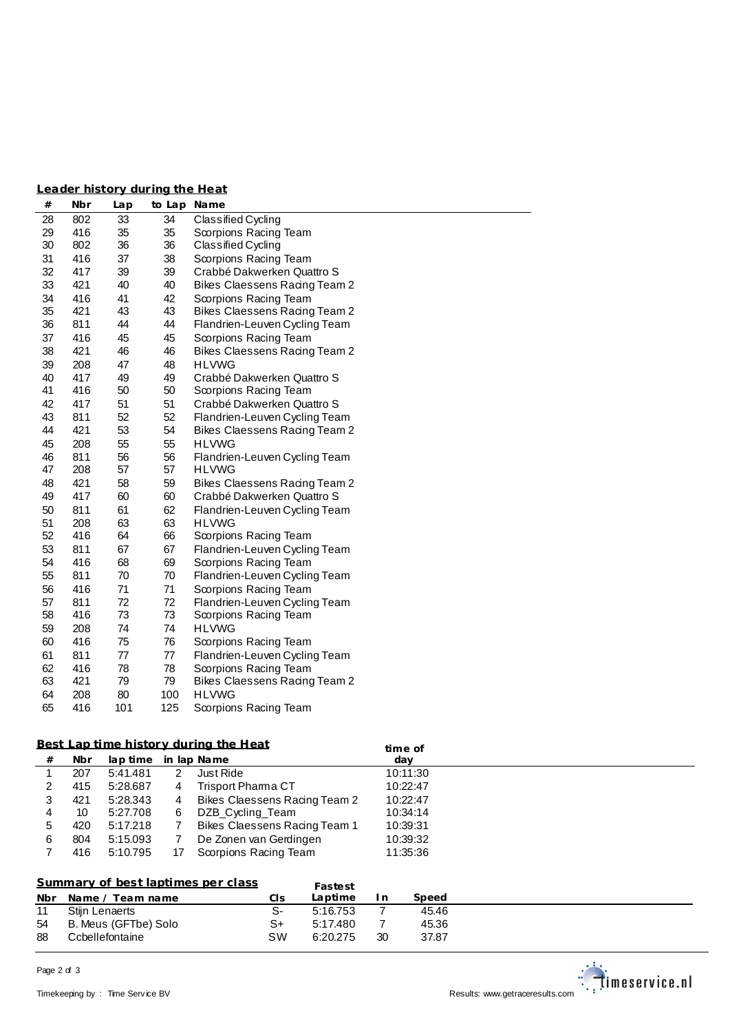| Leader history during the Heat |  |  |
|--------------------------------|--|--|
|                                |  |  |
|                                |  |  |

| $^{\#}$ | Nbr | Lap | to Lap Name |                                      |
|---------|-----|-----|-------------|--------------------------------------|
| 28      | 802 | 33  | 34          | Classified Cycling                   |
| 29      | 416 | 35  | 35          | Scorpions Racing Team                |
| 30      | 802 | 36  | 36          | Classified Cycling                   |
| 31      | 416 | 37  | 38          | Scorpions Racing Team                |
| 32      | 417 | 39  | 39          | Crabbé Dakwerken Quattro S           |
| 33      | 421 | 40  | 40          | <b>Bikes Claessens Racing Team 2</b> |
| 34      | 416 | 41  | 42          | Scorpions Racing Team                |
| 35      | 421 | 43  | 43          | <b>Bikes Claessens Racing Team 2</b> |
| 36      | 811 | 44  | 44          | Flandrien-Leuven Cycling Team        |
| 37      | 416 | 45  | 45          | Scorpions Racing Team                |
| 38      | 421 | 46  | 46          | Bikes Claessens Racing Team 2        |
| 39      | 208 | 47  | 48          | <b>HLVWG</b>                         |
| 40      | 417 | 49  | 49          | Crabbé Dakwerken Quattro S           |
| 41      | 416 | 50  | 50          | Scorpions Racing Team                |
| 42      | 417 | 51  | 51          | Crabbé Dakwerken Quattro S           |
| 43      | 811 | 52  | 52          | Flandrien-Leuven Cycling Team        |
| 44      | 421 | 53  | 54          | Bikes Claessens Racing Team 2        |
| 45      | 208 | 55  | 55          | <b>HLVWG</b>                         |
| 46      | 811 | 56  | 56          | Flandrien-Leuven Cycling Team        |
| 47      | 208 | 57  | 57          | <b>HLVWG</b>                         |
| 48      | 421 | 58  | 59          | Bikes Claessens Racing Team 2        |
| 49      | 417 | 60  | 60          | Crabbé Dakwerken Quattro S           |
| 50      | 811 | 61  | 62          | Flandrien-Leuven Cycling Team        |
| 51      | 208 | 63  | 63          | <b>HLVWG</b>                         |
| 52      | 416 | 64  | 66          | Scorpions Racing Team                |
| 53      | 811 | 67  | 67          | Flandrien-Leuven Cycling Team        |
| 54      | 416 | 68  | 69          | Scorpions Racing Team                |
| 55      | 811 | 70  | 70          | Flandrien-Leuven Cycling Team        |
| 56      | 416 | 71  | 71          | Scorpions Racing Team                |
| 57      | 811 | 72  | 72          | Flandrien-Leuven Cycling Team        |
| 58      | 416 | 73  | 73          | Scorpions Racing Team                |
| 59      | 208 | 74  | 74          | <b>HLVWG</b>                         |
| 60      | 416 | 75  | 76          | Scorpions Racing Team                |
| 61      | 811 | 77  | 77          | Flandrien-Leuven Cycling Team        |
| 62      | 416 | 78  | 78          | Scorpions Racing Team                |
| 63      | 421 | 79  | 79          | <b>Bikes Claessens Racing Team 2</b> |
| 64      | 208 | 80  | 100         | <b>HLVWG</b>                         |
| 65      | 416 | 101 | 125         | Scorpions Racing Team                |

## **Best Lap time history during the Heat**

|   |     |                      |    | Best Lap time history during the Heat | time of  |  |
|---|-----|----------------------|----|---------------------------------------|----------|--|
| # | Nbr | lap time in lap Name |    |                                       | day      |  |
|   | 207 | 5:41.481             |    | Just Ride                             | 10:11:30 |  |
|   | 415 | 5:28.687             | 4  | <b>Trisport Phama CT</b>              | 10:22:47 |  |
|   | 421 | 5:28.343             | 4  | Bikes Claessens Racing Team 2         | 10:22:47 |  |
| 4 | 10  | 5:27.708             | 6  | DZB Cycling Team                      | 10:34:14 |  |
|   | 420 | 5:17.218             |    | Bikes Claessens Racing Team 1         | 10:39:31 |  |
| 6 | 804 | 5:15.093             |    | De Zonen van Gerdingen                | 10:39:32 |  |
|   | 416 | 5:10.795             | 17 | Scorpions Racing Team                 | 11:35:36 |  |

## **Summary of best laptimes per class**

|     | Summary of best laptimes per class |      | Fastest  |     |       |  |
|-----|------------------------------------|------|----------|-----|-------|--|
| Nbr | Name / Team name                   | CIS. | Laptime  | In. | Speed |  |
| 11  | Stijn Lenaerts                     |      | 5:16.753 |     | 45.46 |  |
| 54  | B. Meus (GFTbe) Solo               | S+   | 5:17.480 |     | 45.36 |  |
| 88  | Ccbellefontaine                    | sw   | 6:20.275 | 30  | 37.87 |  |